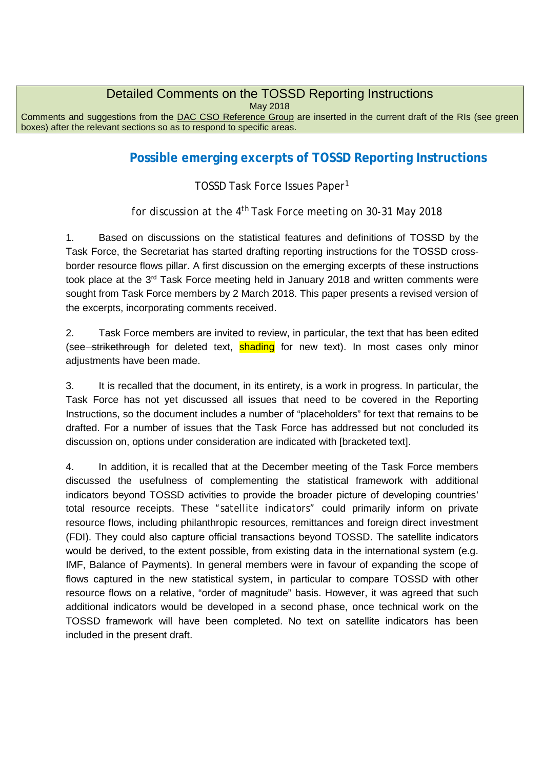## Detailed Comments on the TOSSD Reporting Instructions

May 2018

Comments and suggestions from the DAC CSO Reference Group are inserted in the current draft of the RIs (see green boxes) after the relevant sections so as to respond to specific areas.

# **Possible emerging excerpts of TOSSD Reporting Instructions**

*TOSSD Task Force Issues Paper[1](#page-1-0)*

*for discussion at the 4th Task Force meeting on 30-31 May 2018*

1. Based on discussions on the statistical features and definitions of TOSSD by the Task Force, the Secretariat has started drafting reporting instructions for the TOSSD crossborder resource flows pillar. A first discussion on the emerging excerpts of these instructions took place at the 3<sup>rd</sup> Task Force meeting held in January 2018 and written comments were sought from Task Force members by 2 March 2018. This paper presents a revised version of the excerpts, incorporating comments received.

2. Task Force members are invited to review, in particular, the text that has been edited (see strikethrough for deleted text, shading for new text). In most cases only minor adjustments have been made.

3. It is recalled that the document, in its entirety, is a work in progress. In particular, the Task Force has not yet discussed all issues that need to be covered in the Reporting Instructions, so the document includes a number of "placeholders" for text that remains to be drafted. For a number of issues that the Task Force has addressed but not concluded its discussion on, options under consideration are indicated with [bracketed text].

4. In addition, it is recalled that at the December meeting of the Task Force members discussed the usefulness of complementing the statistical framework with additional indicators beyond TOSSD activities to provide the broader picture of developing countries' total resource receipts. These *"satellite indicators"* could primarily inform on private resource flows, including philanthropic resources, remittances and foreign direct investment (FDI). They could also capture official transactions beyond TOSSD. The satellite indicators would be derived, to the extent possible, from existing data in the international system (e.g. IMF, Balance of Payments). In general members were in favour of expanding the scope of flows captured in the new statistical system, in particular to compare TOSSD with other resource flows on a relative, "order of magnitude" basis. However, it was agreed that such additional indicators would be developed in a second phase, once technical work on the TOSSD framework will have been completed. No text on satellite indicators has been included in the present draft.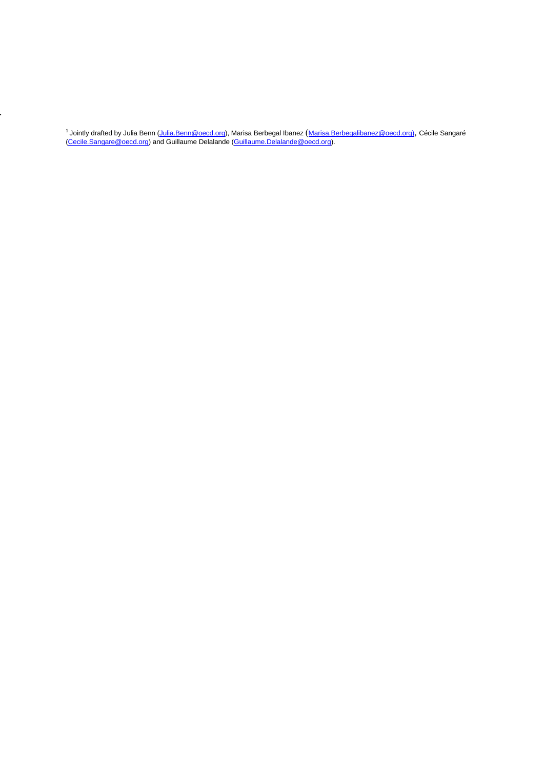<span id="page-1-0"></span><sup>1</sup> Jointly drafted by Julia Benn (<u>Julia.Benn@oecd.org</u>), Marisa Berbegal Ibanez (<u>[Marisa.Berbegalibanez@oecd.org\)](mailto:Marisa.Berbegalibanez@oecd.org),</u> Cécile Sangaré <u>(Cecile.Sangare@oecd.org</u>) and Guillaume Delalande <u>(Guillaume.Delalande@oecd.org</u>).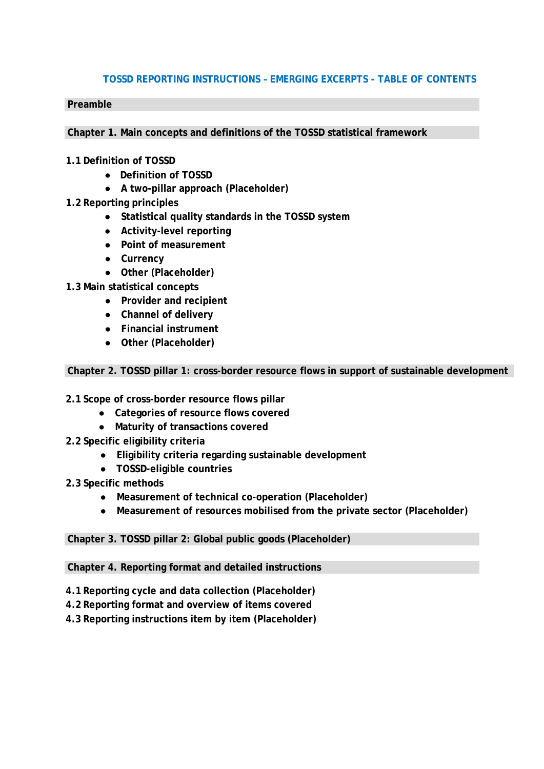## **TOSSD REPORTING INSTRUCTIONS – EMERGING EXCERPTS - TABLE OF CONTENTS**

#### **Preamble**

**Chapter 1. Main concepts and definitions of the TOSSD statistical framework**

### **1.1 Definition of TOSSD**

- **Definition of TOSSD**
- **A two-pillar approach (Placeholder)**
- **1.2 Reporting principles**
	- **Statistical quality standards in the TOSSD system**
	- **Activity-level reporting**
	- **Point of measurement**
	- **Currency**
	- **Other (Placeholder)**
- **1.3 Main statistical concepts**
	- **Provider and recipient**
	- **Channel of delivery**
	- **Financial instrument**
	- **Other (Placeholder)**

**Chapter 2. TOSSD pillar 1: cross-border resource flows in support of sustainable development**

- **2.1 Scope of cross-border resource flows pillar**
	- **Categories of resource flows covered**
	- **Maturity of transactions covered**
- **2.2 Specific eligibility criteria**
	- **Eligibility criteria regarding sustainable development**
	- **TOSSD-eligible countries**
- **2.3 Specific methods**
	- **Measurement of technical co-operation (Placeholder)**
	- **Measurement of resources mobilised from the private sector (Placeholder)**

## **Chapter 3. TOSSD pillar 2: Global public goods (Placeholder)**

**Chapter 4. Reporting format and detailed instructions**

- **4.1 Reporting cycle and data collection (Placeholder)**
- **4.2 Reporting format and overview of items covered**
- **4.3 Reporting instructions item by item (Placeholder)**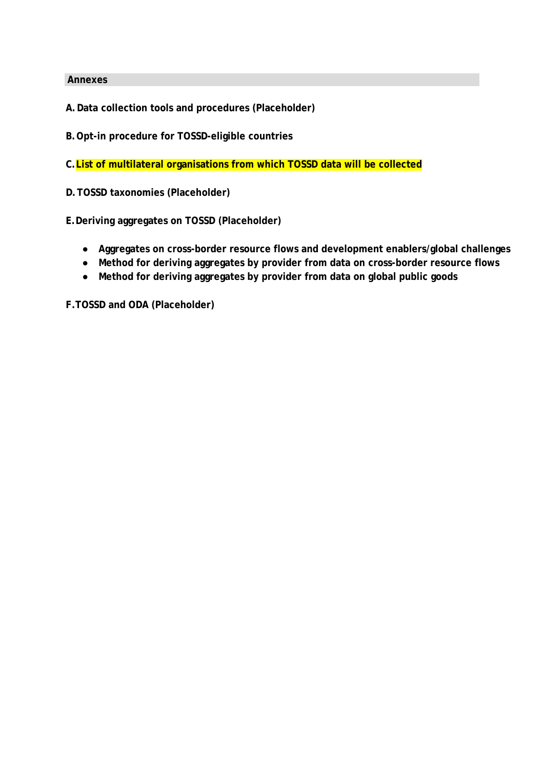#### **Annexes**

**A.Data collection tools and procedures (Placeholder)**

**B.Opt-in procedure for TOSSD-eligible countries**

**C.List of multilateral organisations from which TOSSD data will be collected**

**D.TOSSD taxonomies (Placeholder)**

**E.Deriving aggregates on TOSSD (Placeholder)**

- **Aggregates on cross-border resource flows and development enablers/global challenges**
- **Method for deriving aggregates by provider from data on cross-border resource flows**
- **Method for deriving aggregates by provider from data on global public goods**

**F.TOSSD and ODA (Placeholder)**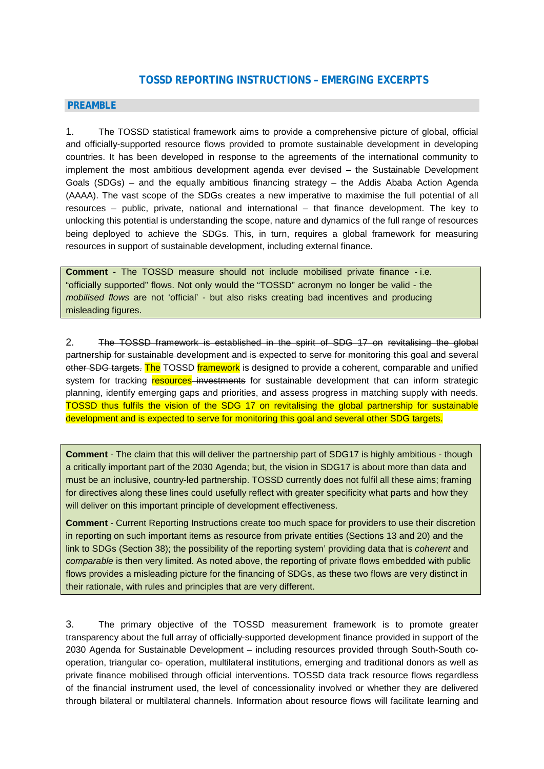## **TOSSD REPORTING INSTRUCTIONS – EMERGING EXCERPTS**

#### **PREAMBLE**

1. The TOSSD statistical framework aims to provide a comprehensive picture of global, official and officially-supported resource flows provided to promote sustainable development in developing countries. It has been developed in response to the agreements of the international community to implement the most ambitious development agenda ever devised – the Sustainable Development Goals (SDGs) – and the equally ambitious financing strategy – the Addis Ababa Action Agenda (AAAA). The vast scope of the SDGs creates a new imperative to maximise the full potential of all resources – public, private, national and international – that finance development. The key to unlocking this potential is understanding the scope, nature and dynamics of the full range of resources being deployed to achieve the SDGs. This, in turn, requires a global framework for measuring resources in support of sustainable development, including external finance.

**Comment** - The TOSSD measure should not include mobilised private finance - i.e. "officially supported" flows. Not only would the "TOSSD" acronym no longer be valid - the *mobilised flows* are not 'official' - but also risks creating bad incentives and producing misleading figures.

2. The TOSSD framework is established in the spirit of SDG 17 on revitalising the global partnership for sustainable development and is expected to serve for monitoring this goal and several other SDG targets. The TOSSD framework is designed to provide a coherent, comparable and unified system for tracking resources investments for sustainable development that can inform strategic planning, identify emerging gaps and priorities, and assess progress in matching supply with needs. TOSSD thus fulfils the vision of the SDG 17 on revitalising the global partnership for sustainable development and is expected to serve for monitoring this goal and several other SDG targets.

**Comment** - The claim that this will deliver the partnership part of SDG17 is highly ambitious - though a critically important part of the 2030 Agenda; but, the vision in SDG17 is about more than data and must be an inclusive, country-led partnership. TOSSD currently does not fulfil all these aims; framing for directives along these lines could usefully reflect with greater specificity what parts and how they will deliver on this important principle of development effectiveness.

**Comment** - Current Reporting Instructions create too much space for providers to use their discretion in reporting on such important items as resource from private entities (Sections 13 and 20) and the link to SDGs (Section 38); the possibility of the reporting system' providing data that is *coherent* and *comparable* is then very limited. As noted above, the reporting of private flows embedded with public flows provides a misleading picture for the financing of SDGs, as these two flows are very distinct in their rationale, with rules and principles that are very different.

3. The primary objective of the TOSSD measurement framework is to promote greater transparency about the full array of officially-supported development finance provided in support of the 2030 Agenda for Sustainable Development – including resources provided through South-South cooperation, triangular co- operation, multilateral institutions, emerging and traditional donors as well as private finance mobilised through official interventions. TOSSD data track resource flows regardless of the financial instrument used, the level of concessionality involved or whether they are delivered through bilateral or multilateral channels. Information about resource flows will facilitate learning and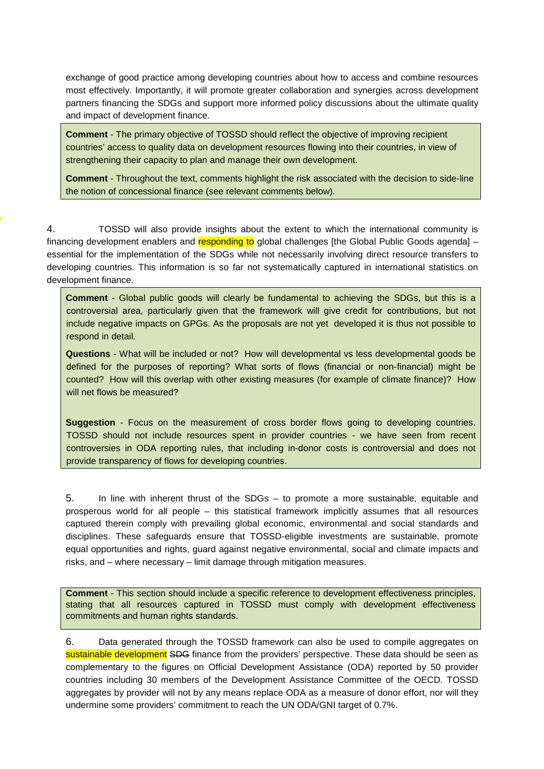exchange of good practice among developing countries about how to access and combine resources most effectively. Importantly, it will promote greater collaboration and synergies across development partners financing the SDGs and support more informed policy discussions about the ultimate quality and impact of development finance.

**Comment** - The primary objective of TOSSD should reflect the objective of improving recipient countries' access to quality data on development resources flowing into their countries, in view of strengthening their capacity to plan and manage their own development.

**Comment** - Throughout the text, comments highlight the risk associated with the decision to side-line the notion of concessional finance (see relevant comments below).

4. TOSSD will also provide insights about the extent to which the international community is financing development enablers and responding to global challenges [the Global Public Goods agenda] – essential for the implementation of the SDGs while not necessarily involving direct resource transfers to developing countries. This information is so far not systematically captured in international statistics on development finance.

**Comment** - Global public goods will clearly be fundamental to achieving the SDGs, but this is a controversial area, particularly given that the framework will give credit for contributions, but not include negative impacts on GPGs. As the proposals are not yet developed it is thus not possible to respond in detail.

**Questions** - What will be included or not? How will developmental vs less developmental goods be defined for the purposes of reporting? What sorts of flows (financial or non-financial) might be counted? How will this overlap with other existing measures (for example of climate finance)? How will net flows be measured?

**Suggestion** - Focus on the measurement of cross border flows going to developing countries. TOSSD should not include resources spent in provider countries - we have seen from recent controversies in ODA reporting rules, that including in-donor costs is controversial and does not provide transparency of flows for developing countries.

5. In line with inherent thrust of the SDGs – to promote a more sustainable, equitable and prosperous world for all people – this statistical framework implicitly assumes that all resources captured therein comply with prevailing global economic, environmental and social standards and disciplines. These safeguards ensure that TOSSD-eligible investments are sustainable, promote equal opportunities and rights, guard against negative environmental, social and climate impacts and risks, and – where necessary – limit damage through mitigation measures.

**Comment** - This section should include a specific reference to development effectiveness principles, stating that all resources captured in TOSSD must comply with development effectiveness commitments and human rights standards.

6. Data generated through the TOSSD framework can also be used to compile aggregates on sustainable development SDG finance from the providers' perspective. These data should be seen as complementary to the figures on Official Development Assistance (ODA) reported by 50 provider countries including 30 members of the Development Assistance Committee of the OECD. TOSSD aggregates by provider will not by any means replace ODA as a measure of donor effort, nor will they undermine some providers' commitment to reach the UN ODA/GNI target of 0.7%.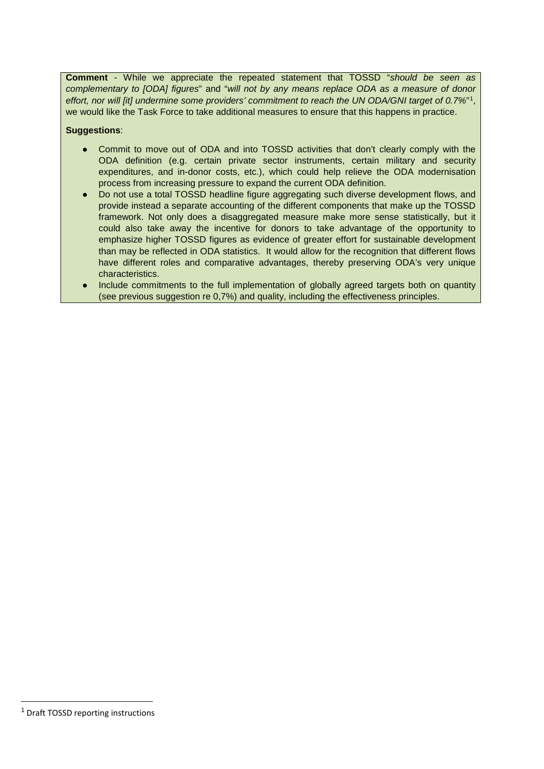**Comment** - While we appreciate the repeated statement that TOSSD "*should be seen as complementary to [ODA] figures*" and "*will not by any means replace ODA as a measure of donor effort, nor will [it] undermine some providers' commitment to reach the UN ODA/GNI target of 0.7%*"[1](#page-6-0), we would like the Task Force to take additional measures to ensure that this happens in practice.

#### **Suggestions**:

- Commit to move out of ODA and into TOSSD activities that don't clearly comply with the ODA definition (e.g. certain private sector instruments, certain military and security expenditures, and in-donor costs, etc.), which could help relieve the ODA modernisation process from increasing pressure to expand the current ODA definition.
- Do not use a total TOSSD headline figure aggregating such diverse development flows, and provide instead a separate accounting of the different components that make up the TOSSD framework. Not only does a disaggregated measure make more sense statistically, but it could also take away the incentive for donors to take advantage of the opportunity to emphasize higher TOSSD figures as evidence of greater effort for sustainable development than may be reflected in ODA statistics. It would allow for the recognition that different flows have different roles and comparative advantages, thereby preserving ODA's very unique characteristics.
- Include commitments to the full implementation of globally agreed targets both on quantity (see previous suggestion re 0,7%) and quality, including the effectiveness principles.

<span id="page-6-0"></span><sup>&</sup>lt;sup>1</sup> Draft TOSSD reporting instructions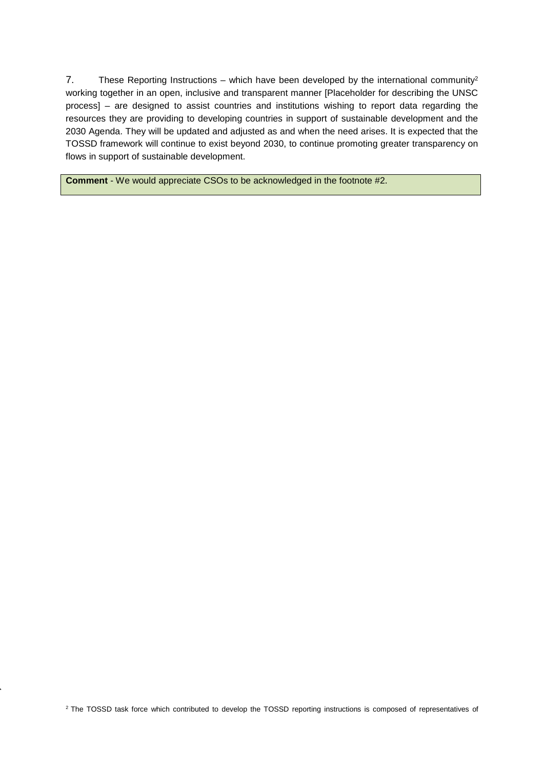7. These Reporting Instructions – which have been developed by the international community<sup>2</sup> working together in an open, inclusive and transparent manner [Placeholder for describing the UNSC process] – are designed to assist countries and institutions wishing to report data regarding the resources they are providing to developing countries in support of sustainable development and the 2030 Agenda. They will be updated and adjusted as and when the need arises. It is expected that the TOSSD framework will continue to exist beyond 2030, to continue promoting greater transparency on flows in support of sustainable development.

**Comment** - We would appreciate CSOs to be acknowledged in the footnote #2.

<span id="page-7-0"></span><sup>2</sup> The TOSSD task force which contributed to develop the TOSSD reporting instructions is composed of representatives of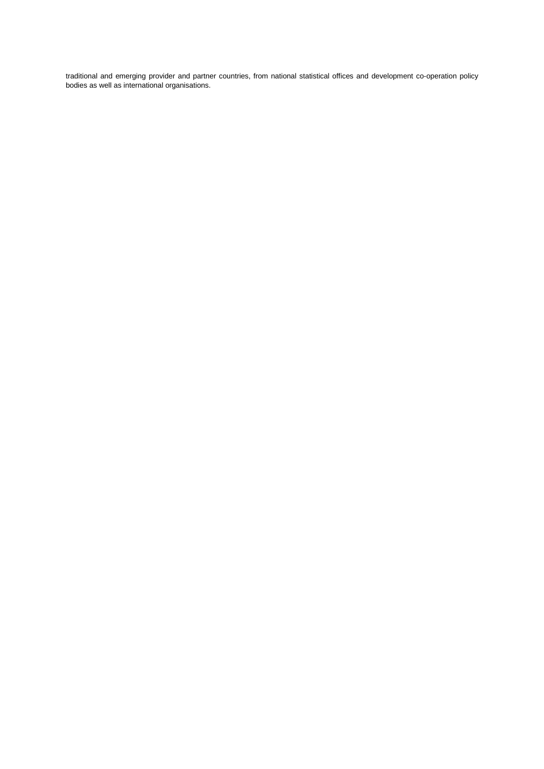traditional and emerging provider and partner countries, from national statistical offices and development co-operation policy bodies as well as international organisations.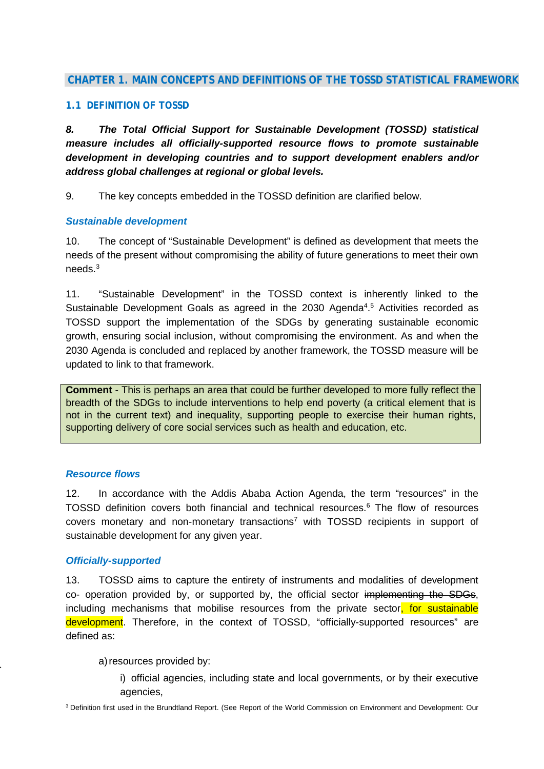## **CHAPTER 1. MAIN CONCEPTS AND DEFINITIONS OF THE TOSSD STATISTICAL FRAMEWORK**

#### **1.1 DEFINITION OF TOSSD**

*8. The Total Official Support for Sustainable Development (TOSSD) statistical measure includes all officially-supported resource flows to promote sustainable development in developing countries and to support development enablers and/or address global challenges at regional or global levels.*

9. The key concepts embedded in the TOSSD definition are clarified below.

#### *Sustainable development*

10. The concept of "Sustainable Development" is defined as development that meets the needs of the present without compromising the ability of future generations to meet their own needs[.3](#page-9-0)

11. "Sustainable Development" in the TOSSD context is inherently linked to the Sustainable Development Goals as agreed in the 2030 Agenda<sup>4,[5](#page-10-1)</sup> [A](#page-10-1)ctivities recorded as TOSSD support the implementation of the SDGs by generating sustainable economic growth, ensuring social inclusion, without compromising the environment. As and when the 2030 Agenda is concluded and replaced by another framework, the TOSSD measure will be updated to link to that framework.

**Comment** - This is perhaps an area that could be further developed to more fully reflect the breadth of the SDGs to include interventions to help end poverty (a critical element that is not in the current text) and inequality, supporting people to exercise their human rights, supporting delivery of core social services such as health and education, etc.

#### *Resource flows*

12. In accordance with the Addis Ababa Action Agenda, the term "resources" in the TOSSD definition covers both financial and technical resources[.6](#page-10-2) The flow of resources covers monetary and non-monetary transactions<sup>7</sup> with TOSSD recipients in support of sustainable development for any given year.

#### *Officially-supported*

13. TOSSD aims to capture the entirety of instruments and modalities of development co- operation provided by, or supported by, the official sector implementing the SDGs, including mechanisms that mobilise resources from the private sector, for sustainable development. Therefore, in the context of TOSSD, "officially-supported resources" are defined as:

a) resources provided by:

i) official agencies, including state and local governments, or by their executive agencies,

<span id="page-9-0"></span>3 Definition first used in the Brundtland Report. (See Report of the World Commission on Environment and Development: Our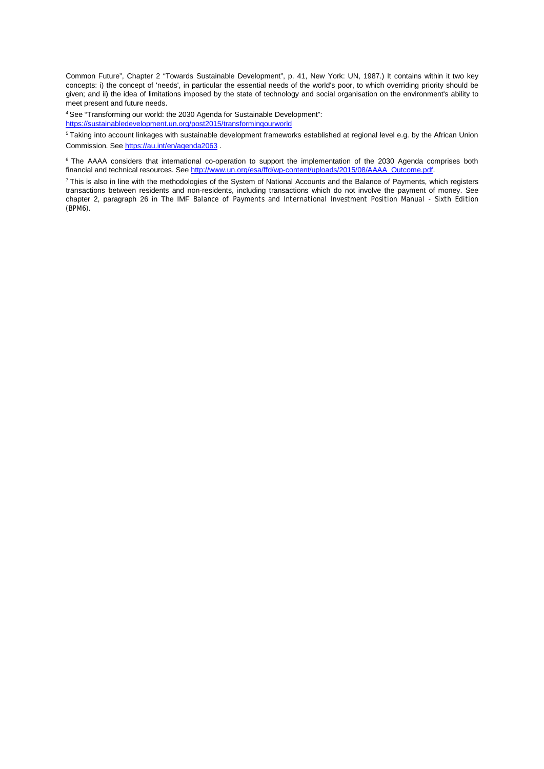Common Future", Chapter 2 "Towards Sustainable Development", p. 41, New York: UN, 1987.) It contains within it two key concepts: i) the concept of 'needs', in particular the essential needs of the world's poor, to which overriding priority should be given; and ii) the idea of limitations imposed by the state of technology and social organisation on the environment's ability to meet present and future needs.

<span id="page-10-0"></span>4 See "Transforming our world: the 2030 Agenda for Sustainable Development": <https://sustainabledevelopment.un.org/post2015/transformingourworld>

<span id="page-10-1"></span><sup>5</sup> Taking into account linkages with sustainable development frameworks established at regional level e.g. by the African Union Commission. See<https://au.int/en/agenda2063>[.](https://au.int/en/agenda2063)

<span id="page-10-2"></span><sup>6</sup> The AAAA considers that international co-operation to support the implementation of the 2030 Agenda comprises both financial and technical resources. See [http://www.un.org/esa/ffd/wp-content/uploads/2015/08/AAAA\\_Outcome.pdf.](http://www.un.org/esa/ffd/wp-content/uploads/2015/08/AAAA_Outcome.pdf)

<span id="page-10-3"></span>7 This is also in line with the methodologies of the System of National Accounts and the Balance of Payments, which registers transactions between residents and non-residents, including transactions which do not involve the payment of money. See chapter 2, paragraph 26 in The IMF *Balance of Payments and International Investment Position Manual - Sixth Edition (BPM6).*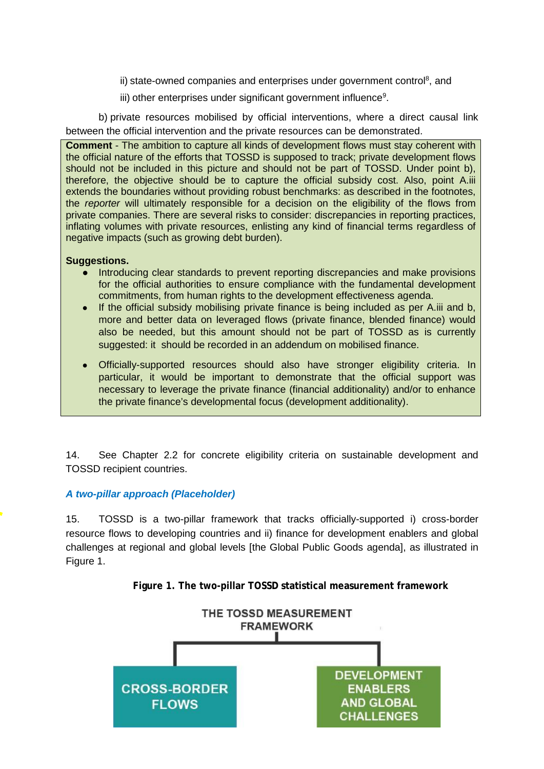ii) state-owned companies and enterprises under government control<sup>8</sup>, and

iii) other enterprises under significant government influence $9$ .

b) private resources mobilised by official interventions, where a direct causal link between the official intervention and the private resources can be demonstrated.

**Comment** - The ambition to capture all kinds of development flows must stay coherent with the official nature of the efforts that TOSSD is supposed to track; private development flows should not be included in this picture and should not be part of TOSSD. Under point b), therefore, the objective should be to capture the official subsidy cost. Also, point A.iii extends the boundaries without providing robust benchmarks: as described in the footnotes, the *reporter* will ultimately responsible for a decision on the eligibility of the flows from private companies. There are several risks to consider: discrepancies in reporting practices, inflating volumes with private resources, enlisting any kind of financial terms regardless of negative impacts (such as growing debt burden).

#### **Suggestions.**

- Introducing clear standards to prevent reporting discrepancies and make provisions for the official authorities to ensure compliance with the fundamental development commitments, from human rights to the development effectiveness agenda.
- If the official subsidy mobilising private finance is being included as per A.iii and b, more and better data on leveraged flows (private finance, blended finance) would also be needed, but this amount should not be part of TOSSD as is currently suggested: it should be recorded in an addendum on mobilised finance.
- Officially-supported resources should also have stronger eligibility criteria. In particular, it would be important to demonstrate that the official support was necessary to leverage the private finance (financial additionality) and/or to enhance the private finance's developmental focus (development additionality).

14. See Chapter 2.2 for concrete eligibility criteria on sustainable development and TOSSD recipient countries.

## *A two-pillar approach (Placeholder)*

15. TOSSD is a two-pillar framework that tracks officially-supported i) cross-border resource flows to developing countries and ii) finance for development enablers and global challenges at regional and global levels [the Global Public Goods agenda], as illustrated in Figure 1.

**Figure 1. The two-pillar TOSSD statistical measurement framework**

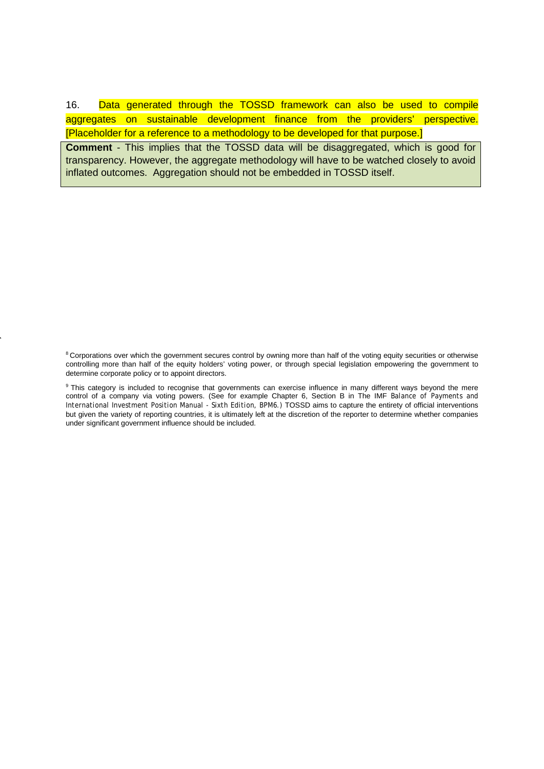16. Data generated through the TOSSD framework can also be used to compile aggregates on sustainable development finance from the providers' perspective. [Placeholder for a reference to a methodology to be developed for that purpose.]

**Comment** - This implies that the TOSSD data will be disaggregated, which is good for transparency. However, the aggregate methodology will have to be watched closely to avoid inflated outcomes. Aggregation should not be embedded in TOSSD itself.

<span id="page-12-0"></span><sup>8</sup> Corporations over which the government secures control by owning more than half of the voting equity securities or otherwise controlling more than half of the equity holders' voting power, or through special legislation empowering the government to determine corporate policy or to appoint directors.

<span id="page-12-1"></span><sup>9</sup> This category is included to recognise that governments can exercise influence in many different ways beyond the mere control of a company via voting powers. (See for example Chapter 6, Section B in The IMF *Balance of Payments and International Investment Position Manual - Sixth Edition, BPM6.)* TOSSD aims to capture the entirety of official interventions but given the variety of reporting countries, it is ultimately left at the discretion of the reporter to determine whether companies under significant government influence should be included.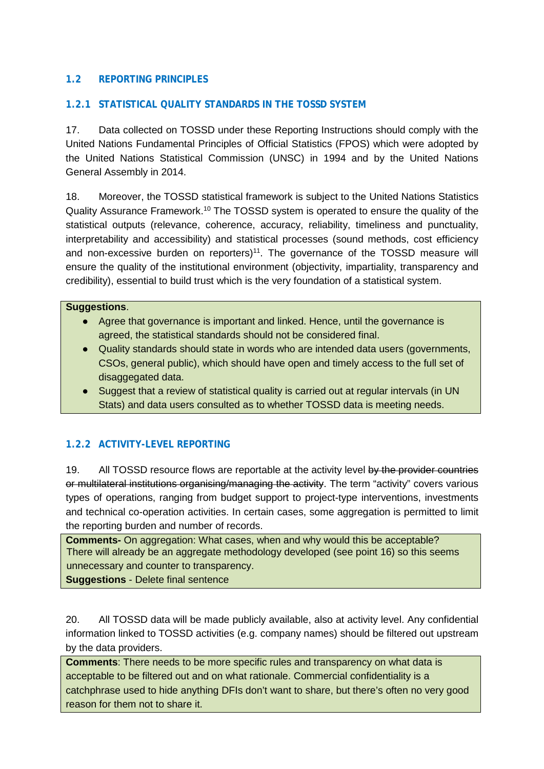## **1.2 REPORTING PRINCIPLES**

## **1.2.1 STATISTICAL QUALITY STANDARDS IN THE TOSSD SYSTEM**

17. Data collected on TOSSD under these Reporting Instructions should comply with the United Nations Fundamental Principles of Official Statistics (FPOS) which were adopted by the United Nations Statistical Commission (UNSC) in 1994 and by the United Nations General Assembly in 2014.

18. Moreover, the TOSSD statistical framework is subject to the United Nations Statistics Quality Assurance Framework.<sup>10</sup> The TOSSD system is operated to ensure the quality of the statistical outputs (relevance, coherence, accuracy, reliability, timeliness and punctuality, interpretability and accessibility) and statistical processes (sound methods, cost efficiency and non-excessive burden on reporters)<sup>11</sup>. The governance of the TOSSD measure will ensure the quality of the institutional environment (objectivity, impartiality, transparency and credibility), essential to build trust which is the very foundation of a statistical system.

#### **Suggestions**.

- Agree that governance is important and linked. Hence, until the governance is agreed, the statistical standards should not be considered final.
- Quality standards should state in words who are intended data users (governments, CSOs, general public), which should have open and timely access to the full set of disaggegated data.
- Suggest that a review of statistical quality is carried out at regular intervals (in UN Stats) and data users consulted as to whether TOSSD data is meeting needs.

## **1.2.2 ACTIVITY-LEVEL REPORTING**

19. All TOSSD resource flows are reportable at the activity level by the provider countries or multilateral institutions organising/managing the activity. The term "activity" covers various types of operations, ranging from budget support to project-type interventions, investments and technical co-operation activities. In certain cases, some aggregation is permitted to limit the reporting burden and number of records.

**Comments-** On aggregation: What cases, when and why would this be acceptable? There will already be an aggregate methodology developed (see point 16) so this seems unnecessary and counter to transparency.

**Suggestions** - Delete final sentence

20. All TOSSD data will be made publicly available, also at activity level. Any confidential information linked to TOSSD activities (e.g. company names) should be filtered out upstream by the data providers.

**Comments**: There needs to be more specific rules and transparency on what data is acceptable to be filtered out and on what rationale. Commercial confidentiality is a catchphrase used to hide anything DFIs don't want to share, but there's often no very good reason for them not to share it.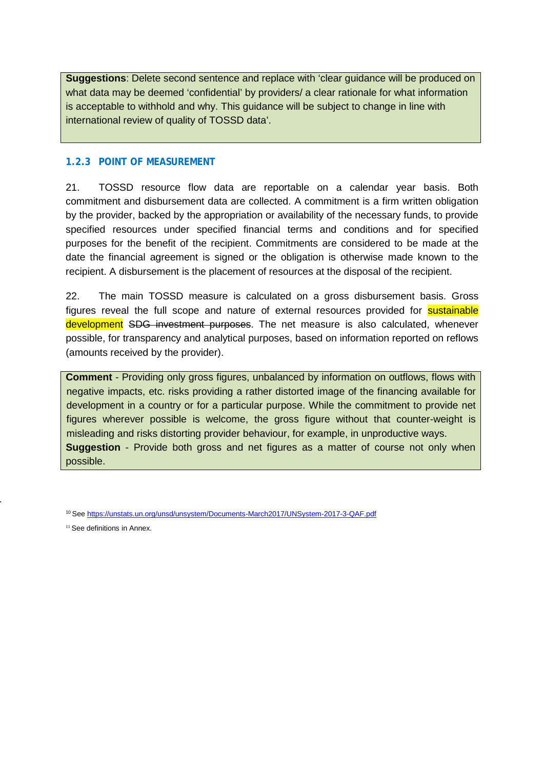**Suggestions**: Delete second sentence and replace with 'clear guidance will be produced on what data may be deemed 'confidential' by providers/ a clear rationale for what information is acceptable to withhold and why. This guidance will be subject to change in line with international review of quality of TOSSD data'.

#### **1.2.3 POINT OF MEASUREMENT**

21. TOSSD resource flow data are reportable on a calendar year basis. Both commitment and disbursement data are collected. A commitment is a firm written obligation by the provider, backed by the appropriation or availability of the necessary funds, to provide specified resources under specified financial terms and conditions and for specified purposes for the benefit of the recipient. Commitments are considered to be made at the date the financial agreement is signed or the obligation is otherwise made known to the recipient. A disbursement is the placement of resources at the disposal of the recipient.

22. The main TOSSD measure is calculated on a gross disbursement basis. Gross figures reveal the full scope and nature of external resources provided for **sustainable** development SDG investment purposes. The net measure is also calculated, whenever possible, for transparency and analytical purposes, based on information reported on reflows (amounts received by the provider).

**Comment** - Providing only gross figures, unbalanced by information on outflows, flows with negative impacts, etc. risks providing a rather distorted image of the financing available for development in a country or for a particular purpose. While the commitment to provide net figures wherever possible is welcome, the gross figure without that counter-weight is misleading and risks distorting provider behaviour, for example, in unproductive ways. **Suggestion** - Provide both gross and net figures as a matter of course not only when possible.

<span id="page-14-1"></span><sup>11</sup> See definitions in Annex.

<span id="page-14-0"></span><sup>10</sup> Se[e https://unstats.un.org/unsd/unsystem/Documents-March2017/UNSystem-2017-3-QAF.pdf](https://unstats.un.org/unsd/unsystem/Documents-March2017/UNSystem-2017-3-QAF.pdf)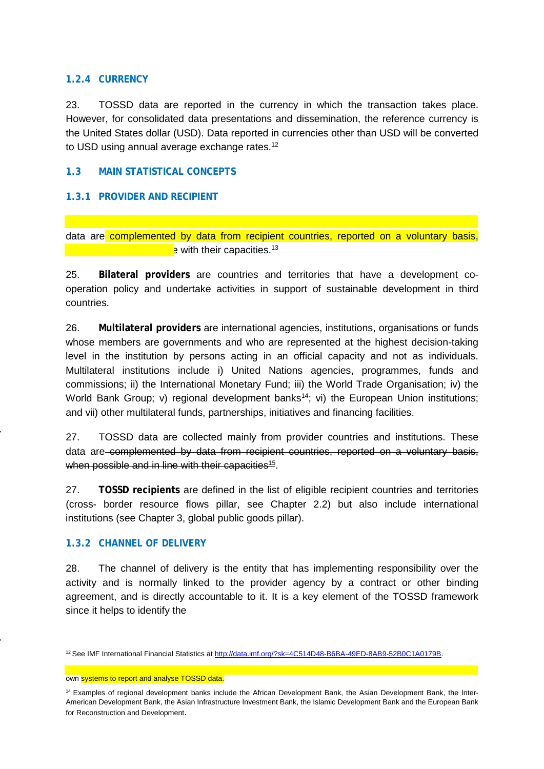#### **1.2.4 CURRENCY**

23. TOSSD data are reported in the currency in which the transaction takes place. However, for consolidated data presentations and dissemination, the reference currency is the United States dollar (USD). Data reported in currencies other than USD will be converted to USD using annual average exchange rates.<sup>12</sup>

#### **1.3 MAIN STATISTICAL CONCEPTS**

#### **1.3.1 PROVIDER AND RECIPIENT**

data are complemented by data from recipient countries, reported on a voluntary basis,  $\cdot$  and with their capacities.<sup>13</sup>

24. TOSSD data are collected mainly from provider countries and institutions. These

25. **Bilateral providers** are countries and territories that have a development cooperation policy and undertake activities in support of sustainable development in third countries.

26. **Multilateral providers** are international agencies, institutions, organisations or funds whose members are governments and who are represented at the highest decision-taking level in the institution by persons acting in an official capacity and not as individuals. Multilateral institutions include i) United Nations agencies, programmes, funds and commissions; ii) the International Monetary Fund; iii) the World Trade Organisation; iv) the World Bank Group; v) regional development banks<sup>14</sup>; vi) the European Union institutions; and vii) other multilateral funds, partnerships, initiatives and financing facilities.

27. TOSSD data are collected mainly from provider countries and institutions. These data are complemented by data from recipient countries, reported on a voluntary basis, when possible and in line with their capacities<sup>15</sup>.

27. **TOSSD recipients** are defined in the list of eligible recipient countries and territories (cross- border resource flows pillar, see Chapter 2.2) but also include international institutions (see Chapter 3, global public goods pillar).

#### **1.3.2 CHANNEL OF DELIVERY**

28. The channel of delivery is the entity that has implementing responsibility over the activity and is normally linked to the provider agency by a contract or other binding agreement, and is directly accountable to it. It is a key element of the TOSSD framework since it helps to identify the

<span id="page-15-1"></span><sup>13</sup>Provider countries and institutions should provide technical capacity building for developing countries willing to set up their own systems to report and analyse TOSSD data.

<span id="page-15-0"></span><sup>12</sup> See IMF International Financial Statistics at [http://data.imf.org/?sk=4C514D48-B6BA-49ED-8AB9-52B0C1A0179B.](http://data.imf.org/?sk=4C514D48-B6BA-49ED-8AB9-52B0C1A0179B)

<span id="page-15-2"></span><sup>&</sup>lt;sup>14</sup> Examples of regional development banks include the African Development Bank, the Asian Development Bank, the Inter-American Development Bank, the Asian Infrastructure Investment Bank, the Islamic Development Bank and the European Bank for Reconstruction and Development.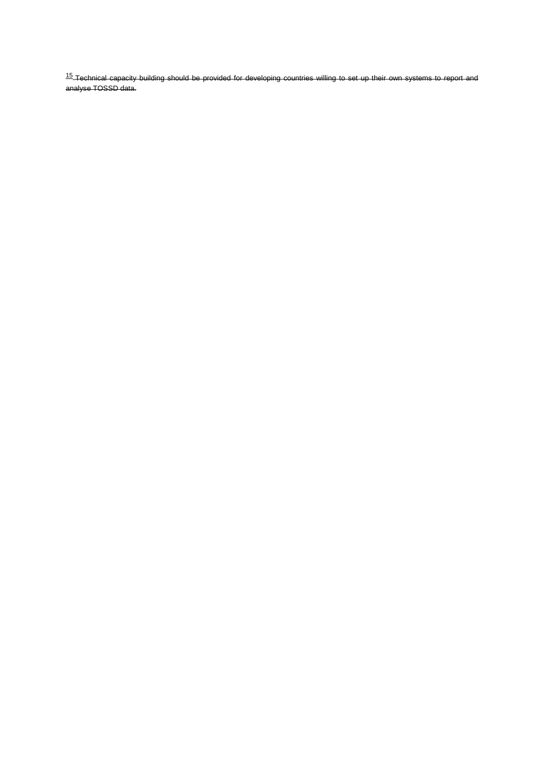<span id="page-16-0"></span>15 Technical capacity building should be provided for developing countries willing to set up their own systems to report and analyse TOSSD data.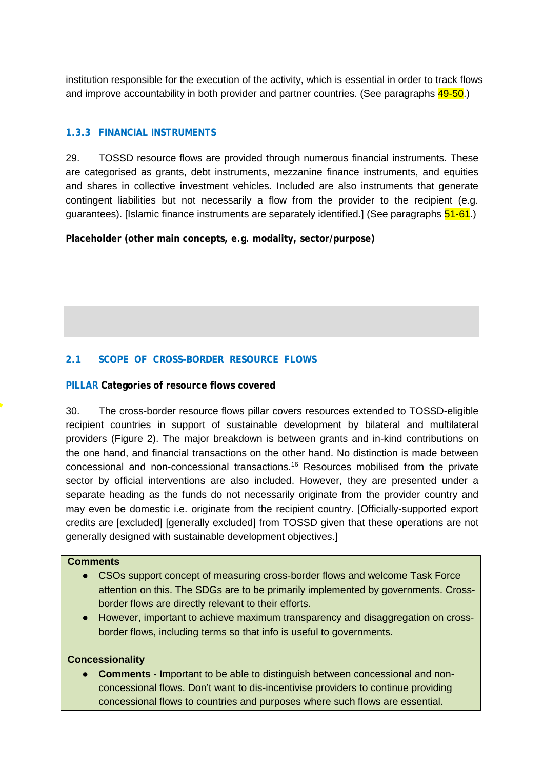institution responsible for the execution of the activity, which is essential in order to track flows and improve accountability in both provider and partner countries. (See paragraphs 49-50.)

#### **1.3.3 FINANCIAL INSTRUMENTS**

29. TOSSD resource flows are provided through numerous financial instruments. These are categorised as grants, debt instruments, mezzanine finance instruments, and equities and shares in collective investment vehicles. Included are also instruments that generate contingent liabilities but not necessarily a flow from the provider to the recipient (e.g. guarantees). [Islamic finance instruments are separately identified.] (See paragraphs 51-61.)

**Placeholder (other main concepts, e.g. modality, sector/purpose)**

#### **2.1 SCOPE OF CROSS-BORDER RESOURCE FLOWS**

#### **PILLAR Categories of resource flows covered**

30. The cross-border resource flows pillar covers resources extended to TOSSD-eligible recipient countries in support of sustainable development by bilateral and multilateral providers (Figure 2). The major breakdown is between grants and in-kind contributions on the one hand, and financial transactions on the other hand. No distinction is made between concessional and non-concessional transactions[.16](#page-18-0) Resources mobilised from the private sector by official interventions are also included. However, they are presented under a separate heading as the funds do not necessarily originate from the provider country and may even be domestic i.e. originate from the recipient country. [Officially-supported export credits are [excluded] [generally excluded] from TOSSD given that these operations are not generally designed with sustainable development objectives.]

#### **Comments**

- CSOs support concept of measuring cross-border flows and welcome Task Force attention on this. The SDGs are to be primarily implemented by governments. Crossborder flows are directly relevant to their efforts.
- However, important to achieve maximum transparency and disaggregation on crossborder flows, including terms so that info is useful to governments.

#### **Concessionality**

● **Comments -** Important to be able to distinguish between concessional and nonconcessional flows. Don't want to dis-incentivise providers to continue providing concessional flows to countries and purposes where such flows are essential.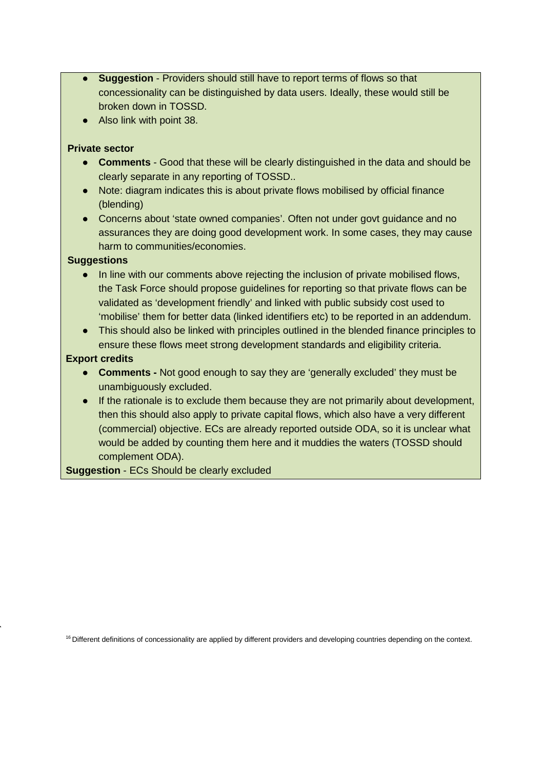- **Suggestion** Providers should still have to report terms of flows so that concessionality can be distinguished by data users. Ideally, these would still be broken down in TOSSD.
- Also link with point 38.

#### **Private sector**

- **Comments** Good that these will be clearly distinguished in the data and should be clearly separate in any reporting of TOSSD..
- Note: diagram indicates this is about private flows mobilised by official finance (blending)
- Concerns about 'state owned companies'. Often not under govt guidance and no assurances they are doing good development work. In some cases, they may cause harm to communities/economies.

#### **Suggestions**

- In line with our comments above rejecting the inclusion of private mobilised flows, the Task Force should propose guidelines for reporting so that private flows can be validated as 'development friendly' and linked with public subsidy cost used to 'mobilise' them for better data (linked identifiers etc) to be reported in an addendum.
- This should also be linked with principles outlined in the blended finance principles to ensure these flows meet strong development standards and eligibility criteria.

## **Export credits**

- **Comments -** Not good enough to say they are 'generally excluded' they must be unambiguously excluded.
- If the rationale is to exclude them because they are not primarily about development, then this should also apply to private capital flows, which also have a very different (commercial) objective. ECs are already reported outside ODA, so it is unclear what would be added by counting them here and it muddies the waters (TOSSD should complement ODA).

**Suggestion** - ECs Should be clearly excluded

<span id="page-18-0"></span><sup>16</sup> Different definitions of concessionality are applied by different providers and developing countries depending on the context.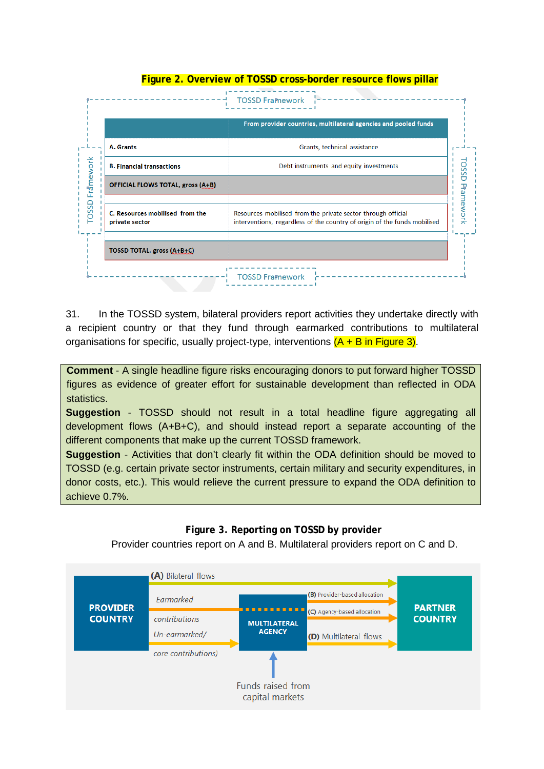|                                                   | From provider countries, multilateral agencies and pooled funds                                                                           |
|---------------------------------------------------|-------------------------------------------------------------------------------------------------------------------------------------------|
| A. Grants                                         | Grants, technical assistance                                                                                                              |
| <b>B. Financial transactions</b>                  | Debt instruments and equity investments                                                                                                   |
| <b>OFFICIAL FLOWS TOTAL, gross (A+B)</b>          |                                                                                                                                           |
| C. Resources mobilised from the<br>private sector | Resources mobilised from the private sector through official<br>interventions, regardless of the country of origin of the funds mobilised |
| <b>TOSSD TOTAL, gross (A+B+C)</b>                 |                                                                                                                                           |

**Figure 2. Overview of TOSSD cross-border resource flows pillar**

31. In the TOSSD system, bilateral providers report activities they undertake directly with a recipient country or that they fund through earmarked contributions to multilateral organisations for specific, usually project-type, interventions  $(A + B)$  in Figure 3).

**Comment** - A single headline figure risks encouraging donors to put forward higher TOSSD figures as evidence of greater effort for sustainable development than reflected in ODA statistics.

**Suggestion** - TOSSD should not result in a total headline figure aggregating all development flows (A+B+C), and should instead report a separate accounting of the different components that make up the current TOSSD framework.

**Suggestion** - Activities that don't clearly fit within the ODA definition should be moved to TOSSD (e.g. certain private sector instruments, certain military and security expenditures, in donor costs, etc.). This would relieve the current pressure to expand the ODA definition to achieve 0.7%.

#### **Figure 3. Reporting on TOSSD by provider**

Provider countries report on A and B. Multilateral providers report on C and D.

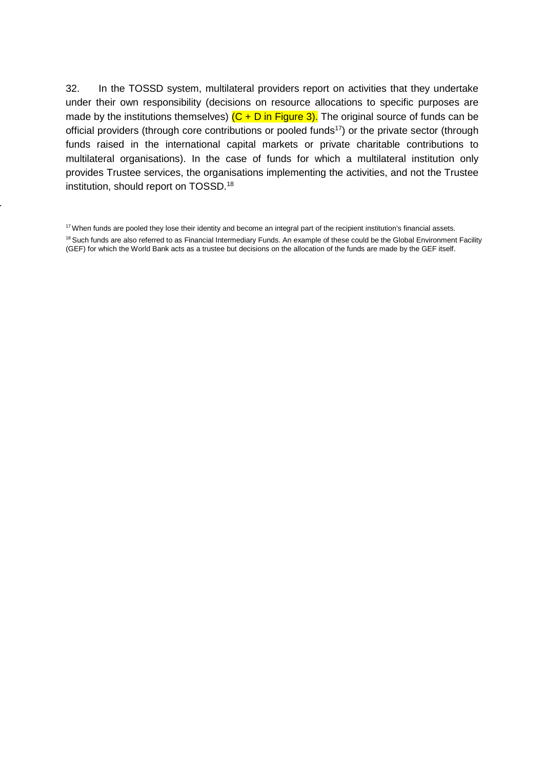32. In the TOSSD system, multilateral providers report on activities that they undertake under their own responsibility (decisions on resource allocations to specific purposes are made by the institutions themselves)  $(C + D)$  in Figure 3). The original source of funds can be official providers (through core contributions or pooled funds<sup>17</sup>) or the private sector (through funds raised in the international capital markets or private charitable contributions to multilateral organisations). In the case of funds for which a multilateral institution only provides Trustee services, the organisations implementing the activities, and not the Trustee institution, should report on TOSSD[.18](#page-20-1)

<span id="page-20-1"></span><span id="page-20-0"></span><sup>&</sup>lt;sup>17</sup> When funds are pooled they lose their identity and become an integral part of the recipient institution's financial assets. <sup>18</sup> Such funds are also referred to as Financial Intermediary Funds. An example of these could be the Global Environment Facility (GEF) for which the World Bank acts as a trustee but decisions on the allocation of the funds are made by the GEF itself.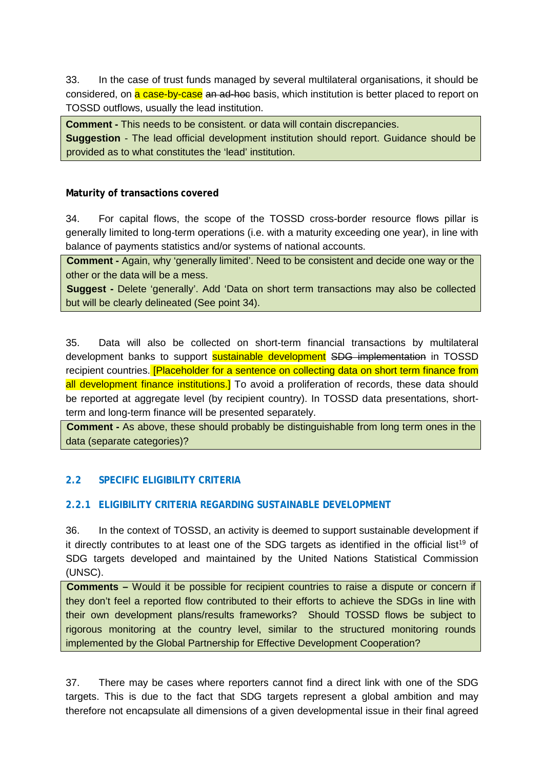33. In the case of trust funds managed by several multilateral organisations, it should be considered, on a case-by-case an ad-hoc basis, which institution is better placed to report on TOSSD outflows, usually the lead institution.

**Comment -** This needs to be consistent. or data will contain discrepancies.

**Suggestion** - The lead official development institution should report. Guidance should be provided as to what constitutes the 'lead' institution.

#### **Maturity of transactions covered**

34. For capital flows, the scope of the TOSSD cross-border resource flows pillar is generally limited to long-term operations (i.e. with a maturity exceeding one year), in line with balance of payments statistics and/or systems of national accounts.

**Comment -** Again, why 'generally limited'. Need to be consistent and decide one way or the other or the data will be a mess.

**Suggest -** Delete 'generally'. Add 'Data on short term transactions may also be collected but will be clearly delineated (See point 34).

35. Data will also be collected on short-term financial transactions by multilateral development banks to support **sustainable development SDG implementation** in TOSSD recipient countries. **[Placeholder for a sentence on collecting data on short term finance from** all development finance institutions.] To avoid a proliferation of records, these data should be reported at aggregate level (by recipient country). In TOSSD data presentations, shortterm and long-term finance will be presented separately.

**Comment -** As above, these should probably be distinguishable from long term ones in the data (separate categories)?

## **2.2 SPECIFIC ELIGIBILITY CRITERIA**

## **2.2.1 ELIGIBILITY CRITERIA REGARDING SUSTAINABLE DEVELOPMENT**

36. In the context of TOSSD, an activity is deemed to support sustainable development if it directly c[o](#page-22-0)ntributes to at least one of the SDG targets as identified in the official list<sup>19</sup> of SDG targets developed and maintained by the United Nations Statistical Commission (UNSC).

**Comments –** Would it be possible for recipient countries to raise a dispute or concern if they don't feel a reported flow contributed to their efforts to achieve the SDGs in line with their own development plans/results frameworks? Should TOSSD flows be subject to rigorous monitoring at the country level, similar to the structured monitoring rounds implemented by the Global Partnership for Effective Development Cooperation?

37. There may be cases where reporters cannot find a direct link with one of the SDG targets. This is due to the fact that SDG targets represent a global ambition and may therefore not encapsulate all dimensions of a given developmental issue in their final agreed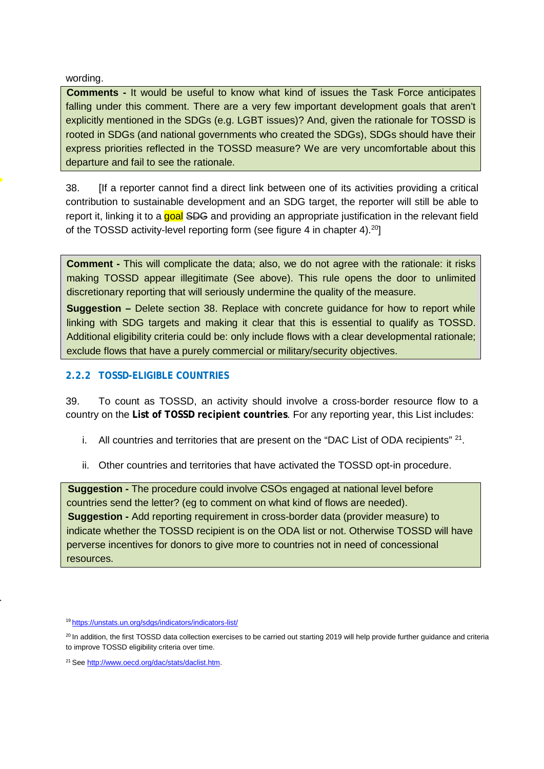wording.

**Comments -** It would be useful to know what kind of issues the Task Force anticipates falling under this comment. There are a very few important development goals that aren't explicitly mentioned in the SDGs (e.g. LGBT issues)? And, given the rationale for TOSSD is rooted in SDGs (and national governments who created the SDGs), SDGs should have their express priorities reflected in the TOSSD measure? We are very uncomfortable about this departure and fail to see the rationale.

38. [If a reporter cannot find a direct link between one of its activities providing a critical contribution to sustainable development and an SDG target, the reporter will still be able to report it, linking it to a goal SDG and providing an appropriate justification in the relevant field of the TOSSD activity-level reporting form (see figure 4 in chapter 4).<sup>20</sup>]

**Comment -** This will complicate the data; also, we do not agree with the rationale: it risks making TOSSD appear illegitimate (See above). This rule opens the door to unlimited discretionary reporting that will seriously undermine the quality of the measure.

**Suggestion –** Delete section 38. Replace with concrete guidance for how to report while linking with SDG targets and making it clear that this is essential to qualify as TOSSD. Additional eligibility criteria could be: only include flows with a clear developmental rationale; exclude flows that have a purely commercial or military/security objectives.

#### **2.2.2 TOSSD-ELIGIBLE COUNTRIES**

39. To count as TOSSD, an activity should involve a cross-border resource flow to a country on the **List of TOSSD recipient countries**. For any reporting year, this List includes:

- i. All countries and territories that are present on the "DAC List of ODA recipients"  $21$ .
- ii. Other countries and territories that have activated the TOSSD opt-in procedure.

**Suggestion -** The procedure could involve CSOs engaged at national level before countries send the letter? (eg to comment on what kind of flows are needed). **Suggestion -** Add reporting requirement in cross-border data (provider measure) to indicate whether the TOSSD recipient is on the ODA list or not. Otherwise TOSSD will have perverse incentives for donors to give more to countries not in need of concessional resources.

<span id="page-22-0"></span><sup>1</sup>[9 https://unstats.un.org/sdgs/indicators/indicators-list/](https://unstats.un.org/sdgs/indicators/indicators-list/)

<span id="page-22-1"></span><sup>&</sup>lt;sup>20</sup> In addition, the first TOSSD data collection exercises to be carried out starting 2019 will help provide further guidance and criteria to improve TOSSD eligibility criteria over time.

<span id="page-22-2"></span><sup>&</sup>lt;sup>21</sup> Se[e http://www.oecd.org/dac/stats/daclist.htm.](http://www.oecd.org/dac/stats/daclist.htm)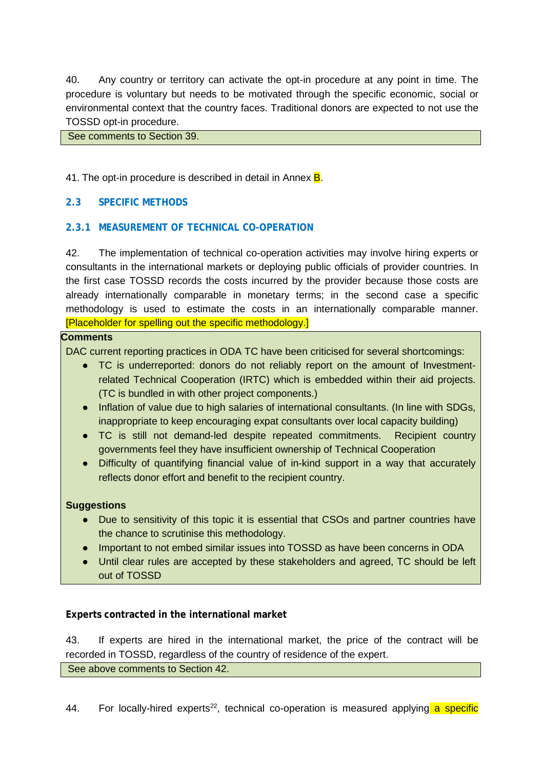40. Any country or territory can activate the opt-in procedure at any point in time. The procedure is voluntary but needs to be motivated through the specific economic, social or environmental context that the country faces. Traditional donors are expected to not use the TOSSD opt-in procedure.

See comments to Section 39.

41. The opt-in procedure is described in detail in Annex **B**.

#### **2.3 SPECIFIC METHODS**

#### **2.3.1 MEASUREMENT OF TECHNICAL CO-OPERATION**

42. The implementation of technical co-operation activities may involve hiring experts or consultants in the international markets or deploying public officials of provider countries. In the first case TOSSD records the costs incurred by the provider because those costs are already internationally comparable in monetary terms; in the second case a specific methodology is used to estimate the costs in an internationally comparable manner. [Placeholder for spelling out the specific methodology.]

#### **Comments**

DAC current reporting practices in ODA TC have been criticised for several shortcomings:

- TC is underreported: donors do not reliably report on the amount of Investmentrelated Technical Cooperation (IRTC) which is embedded within their aid projects. (TC is bundled in with other project components.)
- Inflation of value due to high salaries of international consultants. (In line with SDGs, inappropriate to keep encouraging expat consultants over local capacity building)
- TC is still not demand-led despite repeated commitments. Recipient country governments feel they have insufficient ownership of Technical Cooperation
- Difficulty of quantifying financial value of in-kind support in a way that accurately reflects donor effort and benefit to the recipient country.

#### **Suggestions**

- Due to sensitivity of this topic it is essential that CSOs and partner countries have the chance to scrutinise this methodology.
- Important to not embed similar issues into TOSSD as have been concerns in ODA
- Until clear rules are accepted by these stakeholders and agreed, TC should be left out of TOSSD

#### **Experts contracted in the international market**

43. If experts are hired in the international market, the price of the contract will be recorded in TOSSD, regardless of the country of residence of the expert.

See above comments to Section 42.

44. For locally-hired experts<sup>22</sup>, technical co-operation is measured applying a specific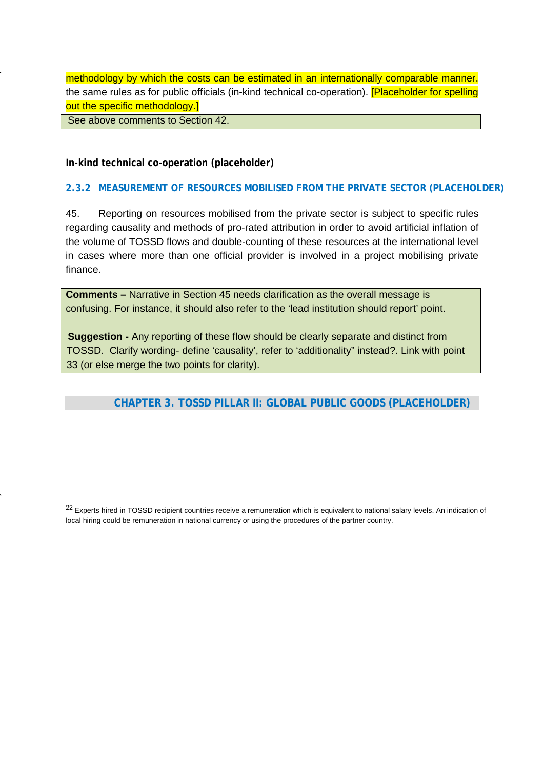methodology by which the costs can be estimated in an internationally comparable manner. the same rules as for public officials (in-kind technical co-operation). [Placeholder for spelling out the specific methodology.]

See above comments to Section 42.

**In-kind technical co-operation (placeholder)**

#### **2.3.2 MEASUREMENT OF RESOURCES MOBILISED FROM THE PRIVATE SECTOR (PLACEHOLDER)**

45. Reporting on resources mobilised from the private sector is subject to specific rules regarding causality and methods of pro-rated attribution in order to avoid artificial inflation of the volume of TOSSD flows and double-counting of these resources at the international level in cases where more than one official provider is involved in a project mobilising private finance.

**Comments –** Narrative in Section 45 needs clarification as the overall message is confusing. For instance, it should also refer to the 'lead institution should report' point.

**Suggestion -** Any reporting of these flow should be clearly separate and distinct from TOSSD. Clarify wording- define 'causality', refer to 'additionality" instead?. Link with point 33 (or else merge the two points for clarity).

## **CHAPTER 3. TOSSD PILLAR II: GLOBAL PUBLIC GOODS (PLACEHOLDER)**

<span id="page-24-0"></span><sup>22</sup> Experts hired in TOSSD recipient countries receive a remuneration which is equivalent to national salary levels. An indication of local hiring could be remuneration in national currency or using the procedures of the partner country.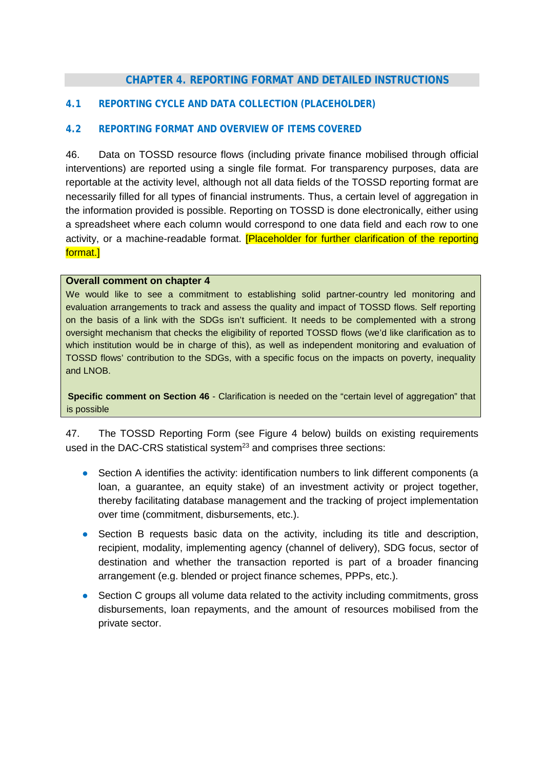## **CHAPTER 4. REPORTING FORMAT AND DETAILED INSTRUCTIONS**

#### **4.1 REPORTING CYCLE AND DATA COLLECTION (PLACEHOLDER)**

#### **4.2 REPORTING FORMAT AND OVERVIEW OF ITEMS COVERED**

46. Data on TOSSD resource flows (including private finance mobilised through official interventions) are reported using a single file format. For transparency purposes, data are reportable at the activity level, although not all data fields of the TOSSD reporting format are necessarily filled for all types of financial instruments. Thus, a certain level of aggregation in the information provided is possible. Reporting on TOSSD is done electronically, either using a spreadsheet where each column would correspond to one data field and each row to one activity, or a machine-readable format. **[Placeholder for further clarification of the reporting** format.]

#### **Overall comment on chapter 4**

We would like to see a commitment to establishing solid partner-country led monitoring and evaluation arrangements to track and assess the quality and impact of TOSSD flows. Self reporting on the basis of a link with the SDGs isn't sufficient. It needs to be complemented with a strong oversight mechanism that checks the eligibility of reported TOSSD flows (we'd like clarification as to which institution would be in charge of this), as well as independent monitoring and evaluation of TOSSD flows' contribution to the SDGs, with a specific focus on the impacts on poverty, inequality and LNOB.

**Specific comment on Section 46** - Clarification is needed on the "certain level of aggregation" that is possible

47. The TOSSD Reporting Form (see Figure 4 below) builds on existing requirements used in the DAC-CRS statistical system<sup>23</sup> and comprises three sections:

- Section A identifies the activity: identification numbers to link different components (a loan, a guarantee, an equity stake) of an investment activity or project together, thereby facilitating database management and the tracking of project implementation over time (commitment, disbursements, etc.).
- Section B requests basic data on the activity, including its title and description, recipient, modality, implementing agency (channel of delivery), SDG focus, sector of destination and whether the transaction reported is part of a broader financing arrangement (e.g. blended or project finance schemes, PPPs, etc.).
- Section C groups all volume data related to the activity including commitments, gross disbursements, loan repayments, and the amount of resources mobilised from the private sector.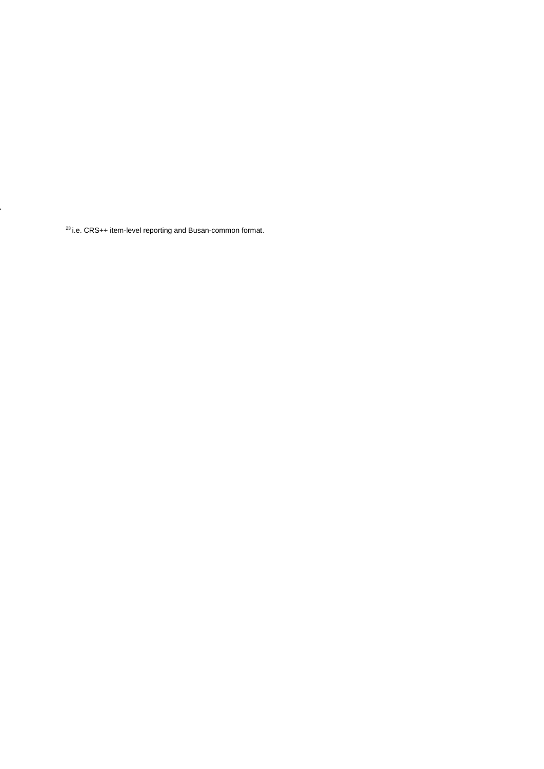<span id="page-26-0"></span>23 i.e. CRS++ item-level reporting and Busan-common format.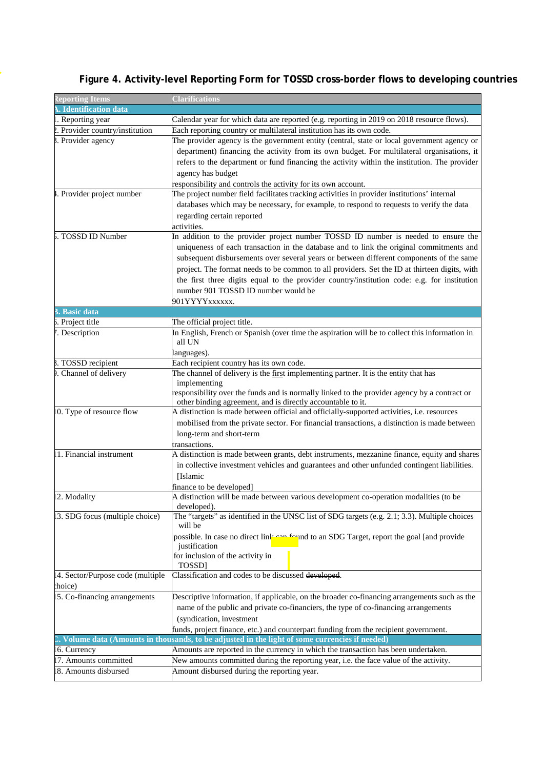| <b>Reporting Items</b>           | <b>Clarifications</b>                                                                                                                                                                                                                                                                                                                                                                                                                                                                                                            |  |
|----------------------------------|----------------------------------------------------------------------------------------------------------------------------------------------------------------------------------------------------------------------------------------------------------------------------------------------------------------------------------------------------------------------------------------------------------------------------------------------------------------------------------------------------------------------------------|--|
| Identification data              |                                                                                                                                                                                                                                                                                                                                                                                                                                                                                                                                  |  |
| . Reporting year                 | Calendar year for which data are reported (e.g. reporting in 2019 on 2018 resource flows).                                                                                                                                                                                                                                                                                                                                                                                                                                       |  |
| 2. Provider country/institution  | Each reporting country or multilateral institution has its own code.                                                                                                                                                                                                                                                                                                                                                                                                                                                             |  |
| 3. Provider agency               | The provider agency is the government entity (central, state or local government agency or<br>department) financing the activity from its own budget. For multilateral organisations, it<br>refers to the department or fund financing the activity within the institution. The provider<br>agency has budget<br>responsibility and controls the activity for its own account.                                                                                                                                                   |  |
| 1. Provider project number       | The project number field facilitates tracking activities in provider institutions' internal<br>databases which may be necessary, for example, to respond to requests to verify the data<br>regarding certain reported<br>activities.                                                                                                                                                                                                                                                                                             |  |
| 5. TOSSD ID Number               | In addition to the provider project number TOSSD ID number is needed to ensure the<br>uniqueness of each transaction in the database and to link the original commitments and<br>subsequent disbursements over several years or between different components of the same<br>project. The format needs to be common to all providers. Set the ID at thirteen digits, with<br>the first three digits equal to the provider country/institution code: e.g. for institution<br>number 901 TOSSD ID number would be<br>901YYYYxxxxxx. |  |
| <b>B.</b> Basic data             |                                                                                                                                                                                                                                                                                                                                                                                                                                                                                                                                  |  |
| 5. Project title                 | The official project title.                                                                                                                                                                                                                                                                                                                                                                                                                                                                                                      |  |
| . Description                    | In English, French or Spanish (over time the aspiration will be to collect this information in<br>all UN<br>languages).                                                                                                                                                                                                                                                                                                                                                                                                          |  |
| 3. TOSSD recipient               | Each recipient country has its own code.                                                                                                                                                                                                                                                                                                                                                                                                                                                                                         |  |
| . Channel of delivery            | The channel of delivery is the first implementing partner. It is the entity that has<br>implementing<br>responsibility over the funds and is normally linked to the provider agency by a contract or<br>other binding agreement, and is directly accountable to it.                                                                                                                                                                                                                                                              |  |
| 10. Type of resource flow        | A distinction is made between official and officially-supported activities, i.e. resources<br>mobilised from the private sector. For financial transactions, a distinction is made between<br>long-term and short-term<br>transactions.                                                                                                                                                                                                                                                                                          |  |
| 1. Financial instrument          | A distinction is made between grants, debt instruments, mezzanine finance, equity and shares<br>in collective investment vehicles and guarantees and other unfunded contingent liabilities.<br>[Islamic<br>finance to be developed                                                                                                                                                                                                                                                                                               |  |
| 2. Modality                      | A distinction will be made between various development co-operation modalities (to be<br>developed).                                                                                                                                                                                                                                                                                                                                                                                                                             |  |
| 13. SDG focus (multiple choice)  | The "targets" as identified in the UNSC list of SDG targets (e.g. 2.1; 3.3). Multiple choices<br>will be<br>possible. In case no direct link can found to an SDG Target, report the goal [and provide<br>justification<br>for inclusion of the activity in<br>TOSSD]                                                                                                                                                                                                                                                             |  |
| 4. Sector/Purpose code (multiple | Classification and codes to be discussed developed.                                                                                                                                                                                                                                                                                                                                                                                                                                                                              |  |
| choice)                          |                                                                                                                                                                                                                                                                                                                                                                                                                                                                                                                                  |  |
| 5. Co-financing arrangements     | Descriptive information, if applicable, on the broader co-financing arrangements such as the<br>name of the public and private co-financiers, the type of co-financing arrangements<br>(syndication, investment<br>funds, project finance, etc.) and counterpart funding from the recipient government.                                                                                                                                                                                                                          |  |
|                                  | Volume data (Amounts in thousands, to be adjusted in the light of some currencies if needed)                                                                                                                                                                                                                                                                                                                                                                                                                                     |  |
| 6. Currency                      | Amounts are reported in the currency in which the transaction has been undertaken.                                                                                                                                                                                                                                                                                                                                                                                                                                               |  |
| 7. Amounts committed             | New amounts committed during the reporting year, i.e. the face value of the activity.                                                                                                                                                                                                                                                                                                                                                                                                                                            |  |
| 8. Amounts disbursed             | Amount disbursed during the reporting year.                                                                                                                                                                                                                                                                                                                                                                                                                                                                                      |  |

# **Figure 4. Activity-level Reporting Form for TOSSD cross-border flows to developing countries**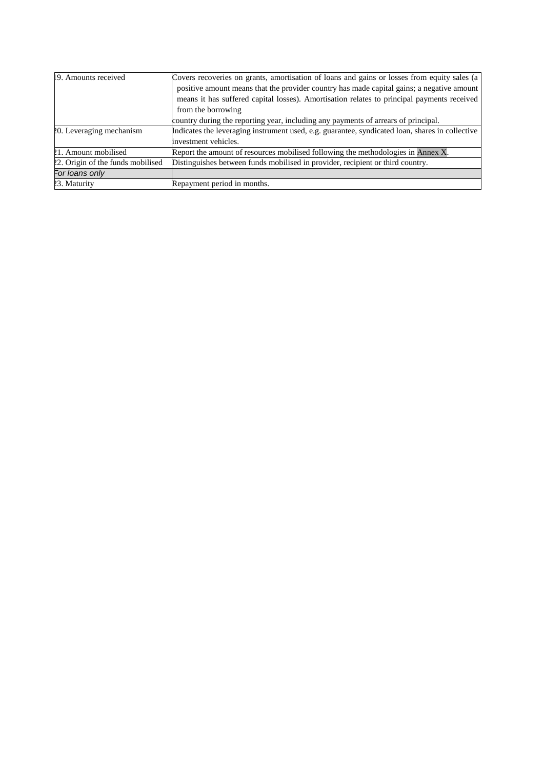| 19. Amounts received              | Covers recoveries on grants, amortisation of loans and gains or losses from equity sales (a)    |
|-----------------------------------|-------------------------------------------------------------------------------------------------|
|                                   | positive amount means that the provider country has made capital gains; a negative amount       |
|                                   | means it has suffered capital losses). Amortisation relates to principal payments received      |
|                                   | from the borrowing                                                                              |
|                                   | country during the reporting year, including any payments of arrears of principal.              |
| 20. Leveraging mechanism          | Indicates the leveraging instrument used, e.g. guarantee, syndicated loan, shares in collective |
|                                   | investment vehicles.                                                                            |
| 21. Amount mobilised              | Report the amount of resources mobilised following the methodologies in Annex X.                |
| 22. Origin of the funds mobilised | Distinguishes between funds mobilised in provider, recipient or third country.                  |
| For loans only                    |                                                                                                 |
| 23. Maturity                      | Repayment period in months.                                                                     |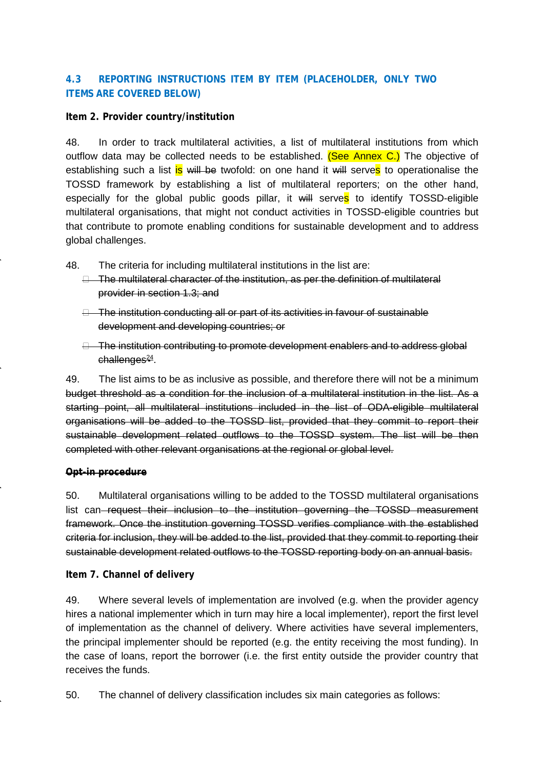## **4.3 REPORTING INSTRUCTIONS ITEM BY ITEM (PLACEHOLDER, ONLY TWO ITEMS ARE COVERED BELOW)**

#### **Item 2. Provider country/institution**

48. In order to track multilateral activities, a list of multilateral institutions from which outflow data may be collected needs to be established. (See Annex C.) The objective of establishing such a list is will be twofold: on one hand it will serves to operationalise the TOSSD framework by establishing a list of multilateral reporters; on the other hand, especially for the global public goods pillar, it will serves to identify TOSSD-eligible multilateral organisations, that might not conduct activities in TOSSD-eligible countries but that contribute to promote enabling conditions for sustainable development and to address global challenges.

- 48. The criteria for including multilateral institutions in the list are:
	- $\Box$  The multilateral character of the institution, as per the definition of multilateral provider in section 1.3; and
	- The institution conducting all or part of its activities in favour of sustainable development and developing countries; or
	- $\Box$  The institution contributing to promote development enablers and to address global  $challenges<sup>24</sup>$ .

49. The list aims to be as inclusive as possible, and therefore there will not be a minimum budget threshold as a condition for the inclusion of a multilateral institution in the list. As a starting point, all multilateral institutions included in the list of ODA-eligible multilateral organisations will be added to the TOSSD list, provided that they commit to report their sustainable development related outflows to the TOSSD system. The list will be then completed with other relevant organisations at the regional or global level.

#### **Opt-in procedure**

50. Multilateral organisations willing to be added to the TOSSD multilateral organisations list can request their inclusion to the institution governing the TOSSD measurement framework. Once the institution governing TOSSD verifies compliance with the established criteria for inclusion, they will be added to the list, provided that they commit to reporting their sustainable development related outflows to the TOSSD reporting body on an annual basis.

**Item 7. Channel of delivery**

49. Where several levels of implementation are involved (e.g. when the provider agency hires a national implementer which in turn may hire a local implementer), report the first level of implementation as the channel of delivery. Where activities have several implementers, the principal implementer should be reported (e.g. the entity receiving the most funding). In the case of loans, report the borrower (i.e. the first entity outside the provider country that receives the funds.

50. The channel of delivery classification includes six main categories as follows: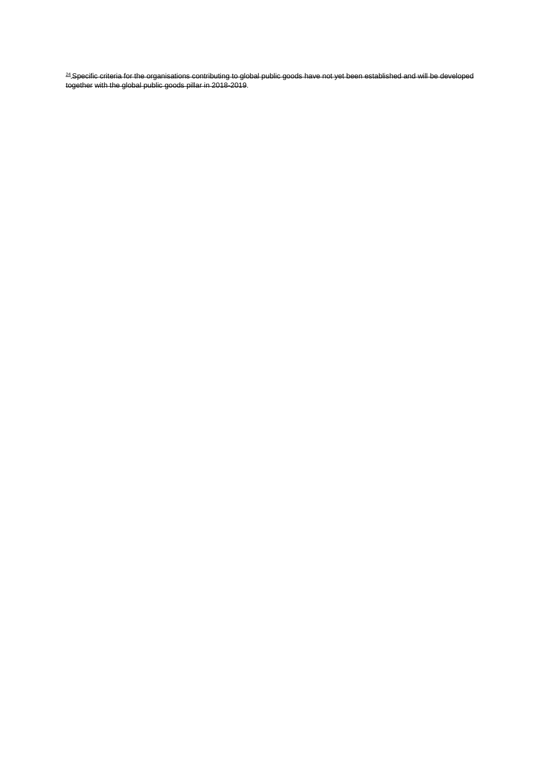<span id="page-30-0"></span><sup>24</sup> Specific criteria for the organisations contributing to global public goods have not yet been established and will be developed together with the global public goods pillar in 2018-2019.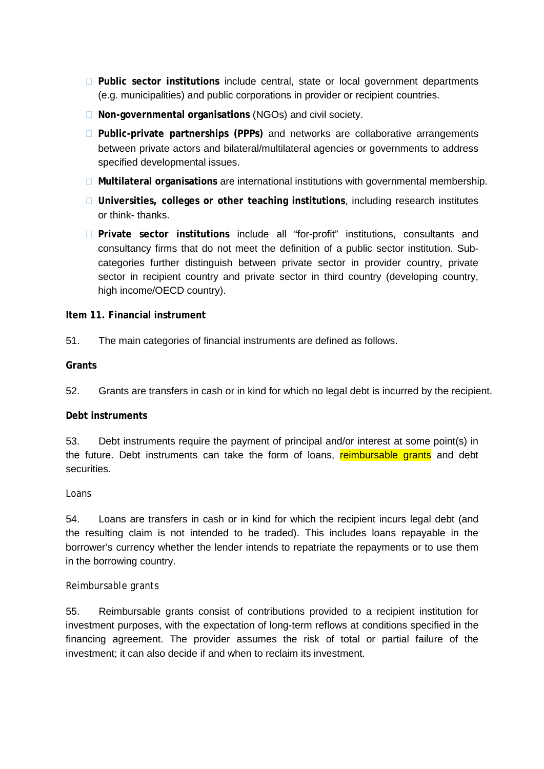- **Public sector institutions** include central, state or local government departments (e.g. municipalities) and public corporations in provider or recipient countries.
- **Non-governmental organisations** (NGOs) and civil society.
- **Public-private partnerships (PPPs)** and networks are collaborative arrangements between private actors and bilateral/multilateral agencies or governments to address specified developmental issues.
- **Multilateral organisations** are international institutions with governmental membership.
- **Universities, colleges or other teaching institutions**, including research institutes or think- thanks.
- **Private sector institutions** include all "for-profit" institutions, consultants and consultancy firms that do not meet the definition of a public sector institution. Subcategories further distinguish between private sector in provider country, private sector in recipient country and private sector in third country (developing country, high income/OECD country).

#### **Item 11. Financial instrument**

51. The main categories of financial instruments are defined as follows.

#### **Grants**

52. Grants are transfers in cash or in kind for which no legal debt is incurred by the recipient.

#### **Debt instruments**

53. Debt instruments require the payment of principal and/or interest at some point(s) in the future. Debt instruments can take the form of loans, reimbursable grants and debt securities.

#### *Loans*

54. Loans are transfers in cash or in kind for which the recipient incurs legal debt (and the resulting claim is not intended to be traded). This includes loans repayable in the borrower's currency whether the lender intends to repatriate the repayments or to use them in the borrowing country.

#### *Reimbursable grants*

55. Reimbursable grants consist of contributions provided to a recipient institution for investment purposes, with the expectation of long-term reflows at conditions specified in the financing agreement. The provider assumes the risk of total or partial failure of the investment; it can also decide if and when to reclaim its investment.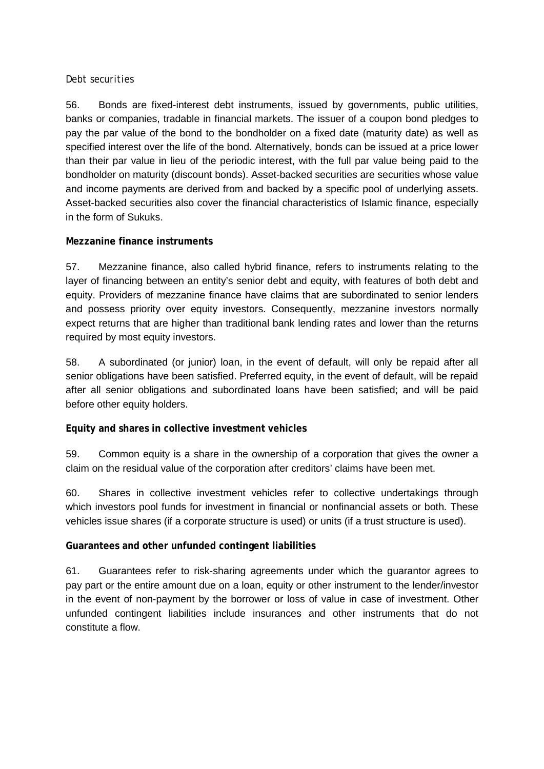### *Debt securities*

56. Bonds are fixed-interest debt instruments, issued by governments, public utilities, banks or companies, tradable in financial markets. The issuer of a coupon bond pledges to pay the par value of the bond to the bondholder on a fixed date (maturity date) as well as specified interest over the life of the bond. Alternatively, bonds can be issued at a price lower than their par value in lieu of the periodic interest, with the full par value being paid to the bondholder on maturity (discount bonds). Asset-backed securities are securities whose value and income payments are derived from and backed by a specific pool of underlying assets. Asset-backed securities also cover the financial characteristics of Islamic finance, especially in the form of Sukuks.

## **Mezzanine finance instruments**

57. Mezzanine finance, also called hybrid finance, refers to instruments relating to the layer of financing between an entity's senior debt and equity, with features of both debt and equity. Providers of mezzanine finance have claims that are subordinated to senior lenders and possess priority over equity investors. Consequently, mezzanine investors normally expect returns that are higher than traditional bank lending rates and lower than the returns required by most equity investors.

58. A subordinated (or junior) loan, in the event of default, will only be repaid after all senior obligations have been satisfied. Preferred equity, in the event of default, will be repaid after all senior obligations and subordinated loans have been satisfied; and will be paid before other equity holders.

## **Equity and shares in collective investment vehicles**

59. Common equity is a share in the ownership of a corporation that gives the owner a claim on the residual value of the corporation after creditors' claims have been met.

60. Shares in collective investment vehicles refer to collective undertakings through which investors pool funds for investment in financial or nonfinancial assets or both. These vehicles issue shares (if a corporate structure is used) or units (if a trust structure is used).

## **Guarantees and other unfunded contingent liabilities**

61. Guarantees refer to risk-sharing agreements under which the guarantor agrees to pay part or the entire amount due on a loan, equity or other instrument to the lender/investor in the event of non-payment by the borrower or loss of value in case of investment. Other unfunded contingent liabilities include insurances and other instruments that do not constitute a flow.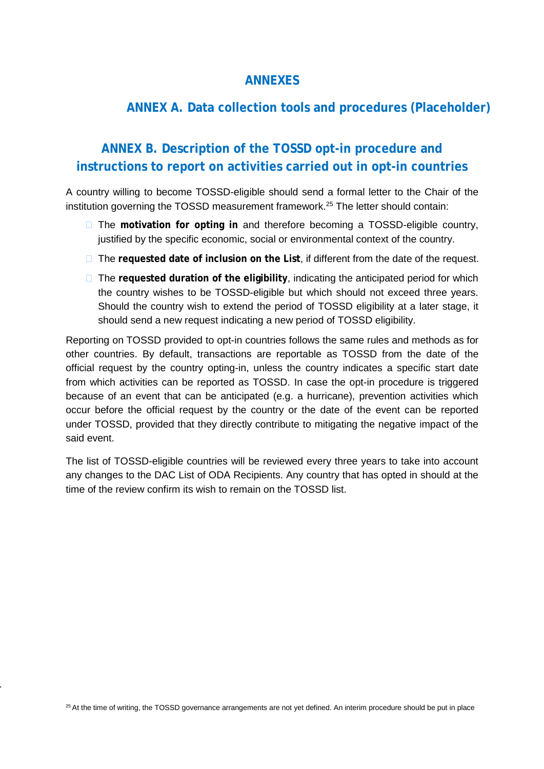## **ANNEXES**

## **ANNEX A. Data collection tools and procedures (Placeholder)**

# **ANNEX B. Description of the TOSSD opt-in procedure and instructions to report on activities carried out in opt-in countries**

A country willing to become TOSSD-eligible should send a formal letter to the Chair of the institution governing the TOSSD measurement framework.<sup>25</sup> The letter should contain:

- The **motivation for opting in** and therefore becoming a TOSSD-eligible country, justified by the specific economic, social or environmental context of the country.
- □ The requested date of inclusion on the List, if different from the date of the request.
- □ The requested duration of the eligibility, indicating the anticipated period for which the country wishes to be TOSSD-eligible but which should not exceed three years. Should the country wish to extend the period of TOSSD eligibility at a later stage, it should send a new request indicating a new period of TOSSD eligibility.

Reporting on TOSSD provided to opt-in countries follows the same rules and methods as for other countries. By default, transactions are reportable as TOSSD from the date of the official request by the country opting-in, unless the country indicates a specific start date from which activities can be reported as TOSSD. In case the opt-in procedure is triggered because of an event that can be anticipated (e.g. a hurricane), prevention activities which occur before the official request by the country or the date of the event can be reported under TOSSD, provided that they directly contribute to mitigating the negative impact of the said event.

The list of TOSSD-eligible countries will be reviewed every three years to take into account any changes to the DAC List of ODA Recipients. Any country that has opted in should at the time of the review confirm its wish to remain on the TOSSD list.

<span id="page-33-0"></span><sup>25</sup> At the time of writing, the TOSSD governance arrangements are not yet defined. An interim procedure should be put in place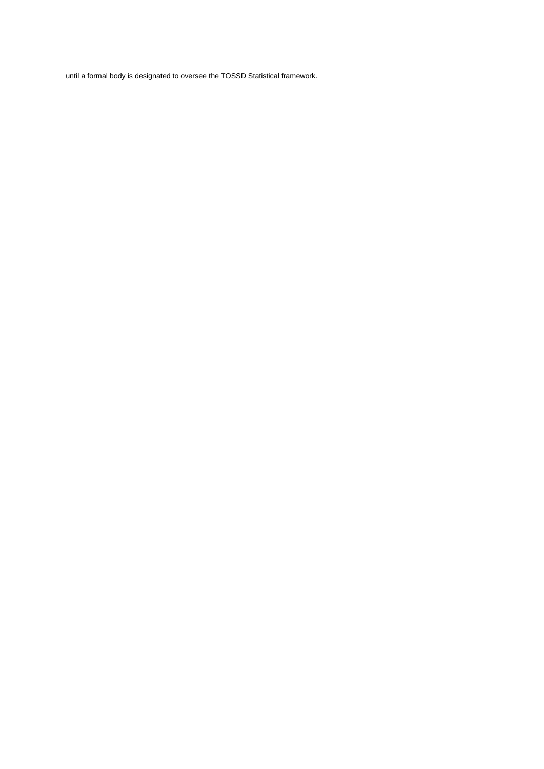until a formal body is designated to oversee the TOSSD Statistical framework.